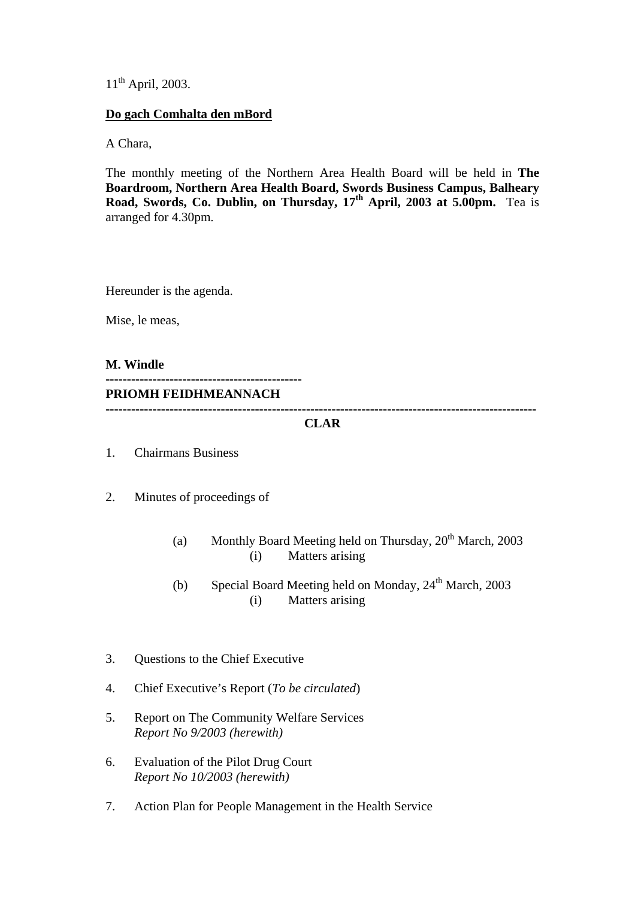11<sup>th</sup> April, 2003.

### **Do gach Comhalta den mBord**

A Chara,

The monthly meeting of the Northern Area Health Board will be held in **The Boardroom, Northern Area Health Board, Swords Business Campus, Balheary Road, Swords, Co. Dublin, on Thursday, 17<sup>th</sup> April, 2003 at 5.00pm.** Tea is arranged for 4.30pm.

Hereunder is the agenda.

Mise, le meas,

**M. Windle ---------------------------------------------- PRIOMH FEIDHMEANNACH -----------------------------------------------------------------------------------------------------** 

### **CLAR**

- 1. Chairmans Business
- 2. Minutes of proceedings of
	- (a) Monthly Board Meeting held on Thursday,  $20^{th}$  March, 2003 (i) Matters arising
	- (b) Special Board Meeting held on Monday,  $24<sup>th</sup>$  March, 2003 (i) Matters arising
- 3. Questions to the Chief Executive
- 4. Chief Executive's Report (*To be circulated*)
- 5. Report on The Community Welfare Services *Report No 9/2003 (herewith)*
- 6. Evaluation of the Pilot Drug Court *Report No 10/2003 (herewith)*
- 7. Action Plan for People Management in the Health Service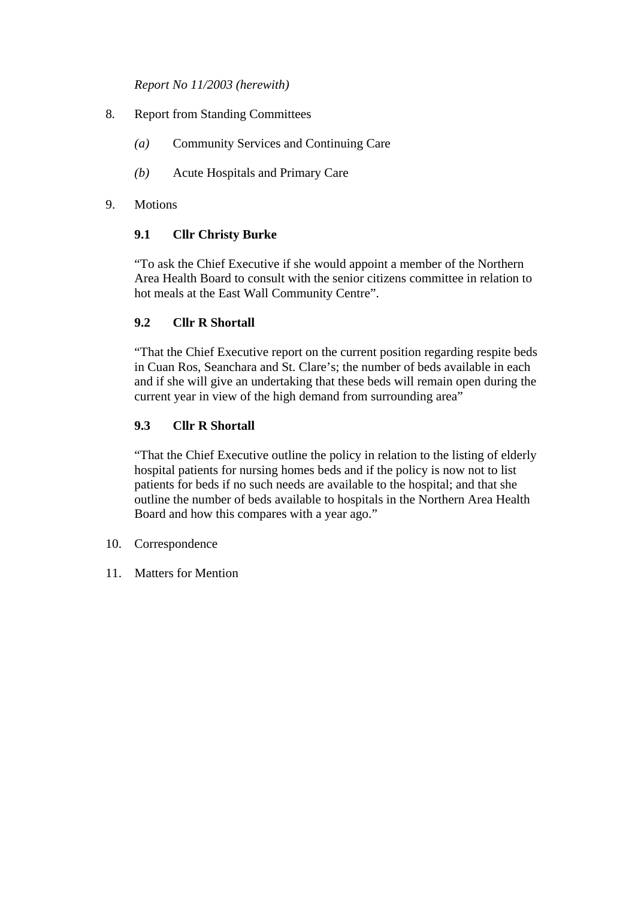*Report No 11/2003 (herewith)*

- 8*.* Report from Standing Committees
	- *(a)* Community Services and Continuing Care
	- *(b)* Acute Hospitals and Primary Care

### 9. Motions

# **9.1 Cllr Christy Burke**

"To ask the Chief Executive if she would appoint a member of the Northern Area Health Board to consult with the senior citizens committee in relation to hot meals at the East Wall Community Centre".

### **9.2 Cllr R Shortall**

"That the Chief Executive report on the current position regarding respite beds in Cuan Ros, Seanchara and St. Clare's; the number of beds available in each and if she will give an undertaking that these beds will remain open during the current year in view of the high demand from surrounding area"

### **9.3 Cllr R Shortall**

"That the Chief Executive outline the policy in relation to the listing of elderly hospital patients for nursing homes beds and if the policy is now not to list patients for beds if no such needs are available to the hospital; and that she outline the number of beds available to hospitals in the Northern Area Health Board and how this compares with a year ago."

- 10. Correspondence
- 11. Matters for Mention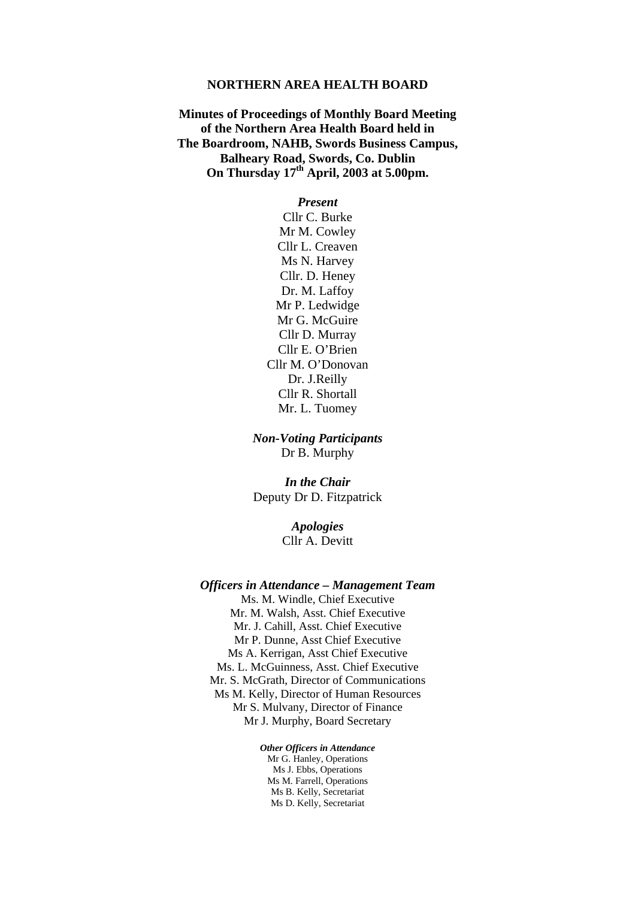#### **NORTHERN AREA HEALTH BOARD**

**Minutes of Proceedings of Monthly Board Meeting of the Northern Area Health Board held in The Boardroom, NAHB, Swords Business Campus, Balheary Road, Swords, Co. Dublin On Thursday 17th April, 2003 at 5.00pm.** 

> *Present*  Cllr C. Burke Mr M. Cowley Cllr L. Creaven Ms N. Harvey Cllr. D. Heney Dr. M. Laffoy Mr P. Ledwidge Mr G. McGuire Cllr D. Murray Cllr E. O'Brien Cllr M. O'Donovan Dr. J.Reilly Cllr R. Shortall Mr. L. Tuomey

*Non-Voting Participants*  Dr B. Murphy

*In the Chair*  Deputy Dr D. Fitzpatrick

> *Apologies*  Cllr A. Devitt

#### *Officers in Attendance – Management Team*

Ms. M. Windle, Chief Executive Mr. M. Walsh, Asst. Chief Executive Mr. J. Cahill, Asst. Chief Executive Mr P. Dunne, Asst Chief Executive Ms A. Kerrigan, Asst Chief Executive Ms. L. McGuinness, Asst. Chief Executive Mr. S. McGrath, Director of Communications Ms M. Kelly, Director of Human Resources Mr S. Mulvany, Director of Finance Mr J. Murphy, Board Secretary

*Other Officers in Attendance*

Mr G. Hanley, Operations Ms J. Ebbs, Operations Ms M. Farrell, Operations Ms B. Kelly, Secretariat Ms D. Kelly, Secretariat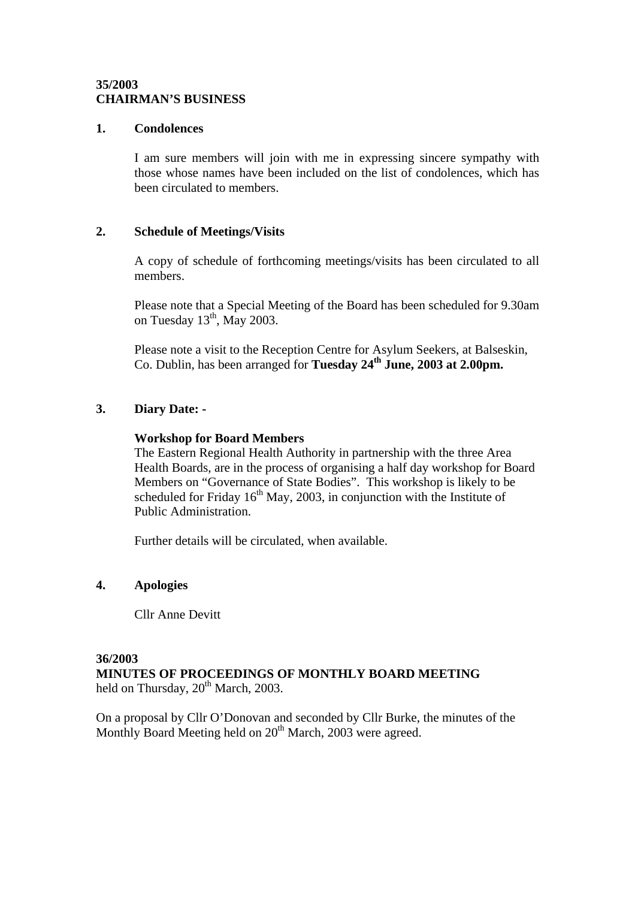### **35/2003 CHAIRMAN'S BUSINESS**

#### **1. Condolences**

I am sure members will join with me in expressing sincere sympathy with those whose names have been included on the list of condolences, which has been circulated to members.

### **2. Schedule of Meetings/Visits**

A copy of schedule of forthcoming meetings/visits has been circulated to all members.

Please note that a Special Meeting of the Board has been scheduled for 9.30am on Tuesday  $13<sup>th</sup>$ , May 2003.

Please note a visit to the Reception Centre for Asylum Seekers, at Balseskin, Co. Dublin, has been arranged for **Tuesday 24<sup>th</sup> June, 2003 at 2.00pm.** 

### **3. Diary Date: -**

### **Workshop for Board Members**

The Eastern Regional Health Authority in partnership with the three Area Health Boards, are in the process of organising a half day workshop for Board Members on "Governance of State Bodies". This workshop is likely to be scheduled for Friday  $16<sup>th</sup>$  May, 2003, in conjunction with the Institute of Public Administration.

Further details will be circulated, when available.

### **4. Apologies**

Cllr Anne Devitt

### **36/2003**

**MINUTES OF PROCEEDINGS OF MONTHLY BOARD MEETING**  held on Thursday,  $20^{th}$  March, 2003.

On a proposal by Cllr O'Donovan and seconded by Cllr Burke, the minutes of the Monthly Board Meeting held on  $20<sup>th</sup>$  March, 2003 were agreed.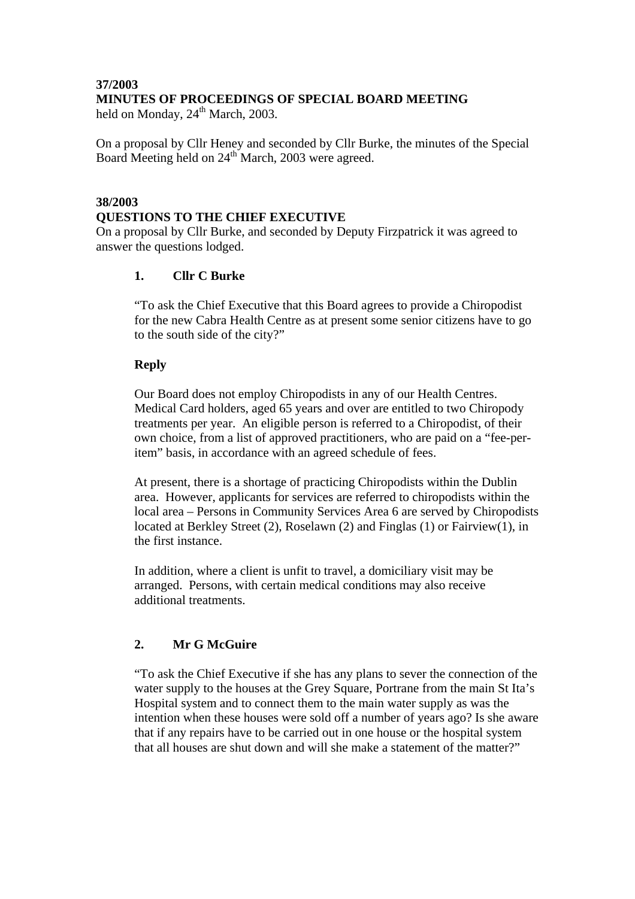### **37/2003 MINUTES OF PROCEEDINGS OF SPECIAL BOARD MEETING**

held on Monday,  $24^{th}$  March, 2003.

On a proposal by Cllr Heney and seconded by Cllr Burke, the minutes of the Special Board Meeting held on 24<sup>th</sup> March, 2003 were agreed.

## **38/2003 QUESTIONS TO THE CHIEF EXECUTIVE**

On a proposal by Cllr Burke, and seconded by Deputy Firzpatrick it was agreed to answer the questions lodged.

# **1. Cllr C Burke**

"To ask the Chief Executive that this Board agrees to provide a Chiropodist for the new Cabra Health Centre as at present some senior citizens have to go to the south side of the city?"

# **Reply**

Our Board does not employ Chiropodists in any of our Health Centres. Medical Card holders, aged 65 years and over are entitled to two Chiropody treatments per year. An eligible person is referred to a Chiropodist, of their own choice, from a list of approved practitioners, who are paid on a "fee-peritem" basis, in accordance with an agreed schedule of fees.

At present, there is a shortage of practicing Chiropodists within the Dublin area. However, applicants for services are referred to chiropodists within the local area – Persons in Community Services Area 6 are served by Chiropodists located at Berkley Street (2), Roselawn (2) and Finglas (1) or Fairview(1), in the first instance.

In addition, where a client is unfit to travel, a domiciliary visit may be arranged. Persons, with certain medical conditions may also receive additional treatments.

# **2. Mr G McGuire**

"To ask the Chief Executive if she has any plans to sever the connection of the water supply to the houses at the Grey Square, Portrane from the main St Ita's Hospital system and to connect them to the main water supply as was the intention when these houses were sold off a number of years ago? Is she aware that if any repairs have to be carried out in one house or the hospital system that all houses are shut down and will she make a statement of the matter?"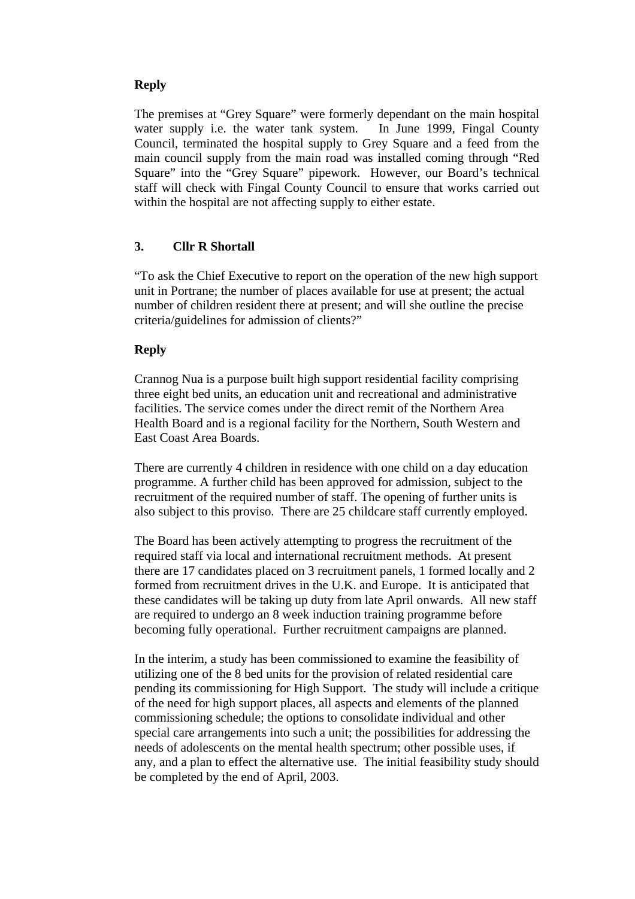# **Reply**

The premises at "Grey Square" were formerly dependant on the main hospital water supply i.e. the water tank system. In June 1999, Fingal County Council, terminated the hospital supply to Grey Square and a feed from the main council supply from the main road was installed coming through "Red Square" into the "Grey Square" pipework. However, our Board's technical staff will check with Fingal County Council to ensure that works carried out within the hospital are not affecting supply to either estate.

# **3. Cllr R Shortall**

"To ask the Chief Executive to report on the operation of the new high support unit in Portrane; the number of places available for use at present; the actual number of children resident there at present; and will she outline the precise criteria/guidelines for admission of clients?"

### **Reply**

Crannog Nua is a purpose built high support residential facility comprising three eight bed units, an education unit and recreational and administrative facilities. The service comes under the direct remit of the Northern Area Health Board and is a regional facility for the Northern, South Western and East Coast Area Boards.

There are currently 4 children in residence with one child on a day education programme. A further child has been approved for admission, subject to the recruitment of the required number of staff. The opening of further units is also subject to this proviso. There are 25 childcare staff currently employed.

The Board has been actively attempting to progress the recruitment of the required staff via local and international recruitment methods. At present there are 17 candidates placed on 3 recruitment panels, 1 formed locally and 2 formed from recruitment drives in the U.K. and Europe. It is anticipated that these candidates will be taking up duty from late April onwards. All new staff are required to undergo an 8 week induction training programme before becoming fully operational. Further recruitment campaigns are planned.

In the interim, a study has been commissioned to examine the feasibility of utilizing one of the 8 bed units for the provision of related residential care pending its commissioning for High Support. The study will include a critique of the need for high support places, all aspects and elements of the planned commissioning schedule; the options to consolidate individual and other special care arrangements into such a unit; the possibilities for addressing the needs of adolescents on the mental health spectrum; other possible uses, if any, and a plan to effect the alternative use. The initial feasibility study should be completed by the end of April, 2003.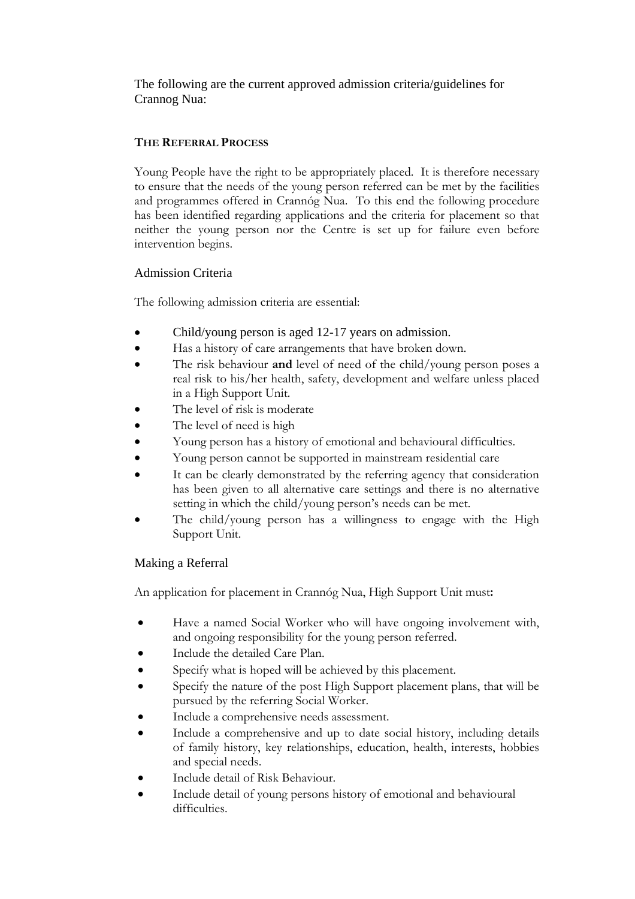The following are the current approved admission criteria/guidelines for Crannog Nua:

# **THE REFERRAL PROCESS**

Young People have the right to be appropriately placed. It is therefore necessary to ensure that the needs of the young person referred can be met by the facilities and programmes offered in Crannóg Nua. To this end the following procedure has been identified regarding applications and the criteria for placement so that neither the young person nor the Centre is set up for failure even before intervention begins.

# Admission Criteria

The following admission criteria are essential:

- Child/young person is aged 12-17 years on admission.
- Has a history of care arrangements that have broken down.
- The risk behaviour **and** level of need of the child/young person poses a real risk to his/her health, safety, development and welfare unless placed in a High Support Unit.
- The level of risk is moderate
- The level of need is high
- Young person has a history of emotional and behavioural difficulties.
- Young person cannot be supported in mainstream residential care
- It can be clearly demonstrated by the referring agency that consideration has been given to all alternative care settings and there is no alternative setting in which the child/young person's needs can be met.
- The child/young person has a willingness to engage with the High Support Unit.

# Making a Referral

An application for placement in Crannóg Nua, High Support Unit must**:** 

- Have a named Social Worker who will have ongoing involvement with, and ongoing responsibility for the young person referred.
- Include the detailed Care Plan.
- Specify what is hoped will be achieved by this placement.
- Specify the nature of the post High Support placement plans, that will be pursued by the referring Social Worker.
- Include a comprehensive needs assessment.
- Include a comprehensive and up to date social history, including details of family history, key relationships, education, health, interests, hobbies and special needs.
- Include detail of Risk Behaviour.
- Include detail of young persons history of emotional and behavioural difficulties.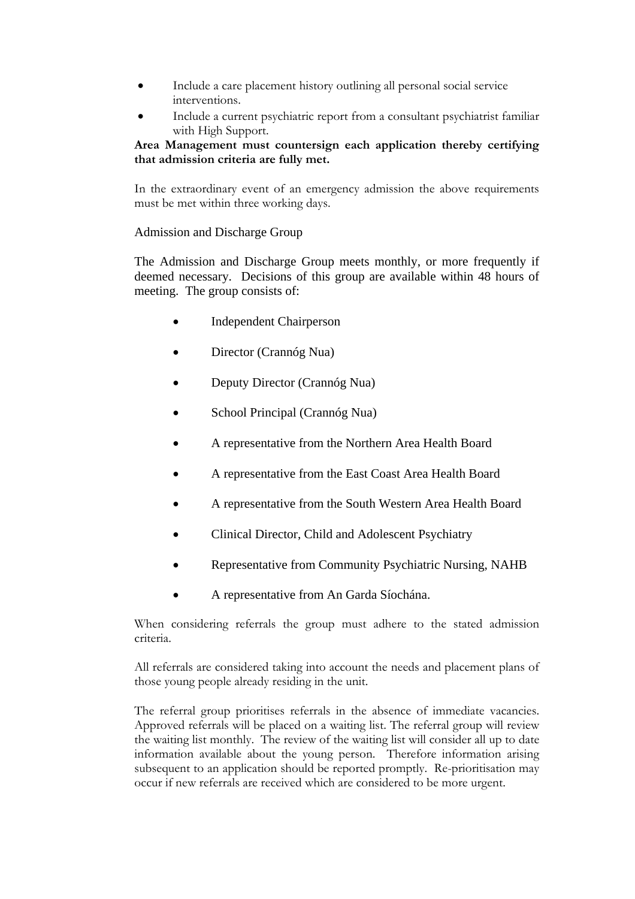- Include a care placement history outlining all personal social service interventions.
- Include a current psychiatric report from a consultant psychiatrist familiar with High Support.

### **Area Management must countersign each application thereby certifying that admission criteria are fully met.**

In the extraordinary event of an emergency admission the above requirements must be met within three working days.

### Admission and Discharge Group

The Admission and Discharge Group meets monthly, or more frequently if deemed necessary. Decisions of this group are available within 48 hours of meeting. The group consists of:

- Independent Chairperson
- Director (Crannóg Nua)
- Deputy Director (Crannóg Nua)
- School Principal (Crannóg Nua)
- A representative from the Northern Area Health Board
- A representative from the East Coast Area Health Board
- A representative from the South Western Area Health Board
- Clinical Director, Child and Adolescent Psychiatry
- Representative from Community Psychiatric Nursing, NAHB
- A representative from An Garda Síochána.

When considering referrals the group must adhere to the stated admission criteria.

All referrals are considered taking into account the needs and placement plans of those young people already residing in the unit.

The referral group prioritises referrals in the absence of immediate vacancies. Approved referrals will be placed on a waiting list. The referral group will review the waiting list monthly. The review of the waiting list will consider all up to date information available about the young person. Therefore information arising subsequent to an application should be reported promptly. Re-prioritisation may occur if new referrals are received which are considered to be more urgent.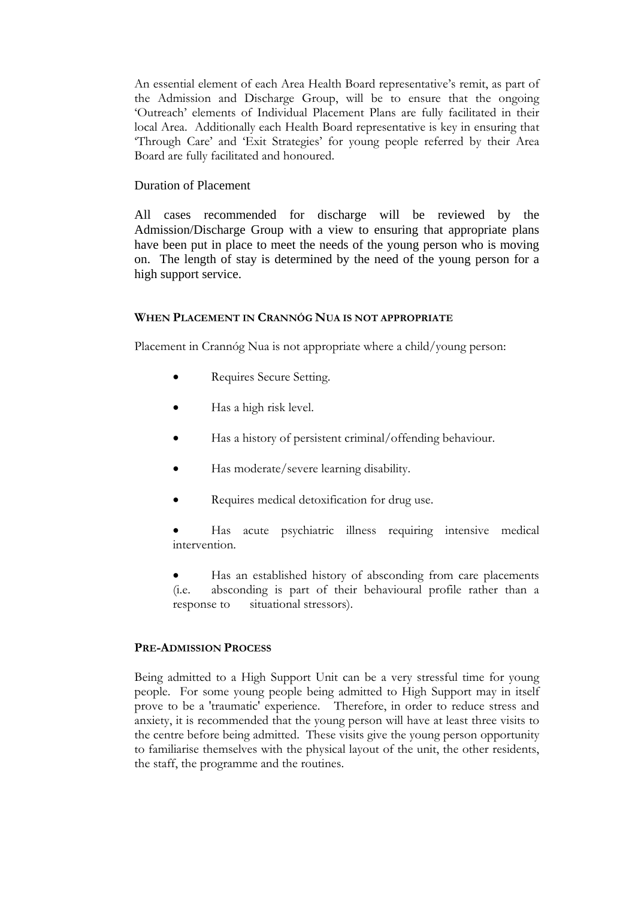An essential element of each Area Health Board representative's remit, as part of the Admission and Discharge Group, will be to ensure that the ongoing 'Outreach' elements of Individual Placement Plans are fully facilitated in their local Area. Additionally each Health Board representative is key in ensuring that 'Through Care' and 'Exit Strategies' for young people referred by their Area Board are fully facilitated and honoured.

### Duration of Placement

All cases recommended for discharge will be reviewed by the Admission/Discharge Group with a view to ensuring that appropriate plans have been put in place to meet the needs of the young person who is moving on. The length of stay is determined by the need of the young person for a high support service.

### **WHEN PLACEMENT IN CRANNÓG NUA IS NOT APPROPRIATE**

Placement in Crannóg Nua is not appropriate where a child/young person:

- Requires Secure Setting.
- Has a high risk level.
- Has a history of persistent criminal/offending behaviour.
- Has moderate/severe learning disability.
- Requires medical detoxification for drug use.

• Has acute psychiatric illness requiring intensive medical intervention.

Has an established history of absconding from care placements (i.e. absconding is part of their behavioural profile rather than a response to situational stressors).

### **PRE-ADMISSION PROCESS**

Being admitted to a High Support Unit can be a very stressful time for young people. For some young people being admitted to High Support may in itself prove to be a 'traumatic' experience. Therefore, in order to reduce stress and anxiety, it is recommended that the young person will have at least three visits to the centre before being admitted. These visits give the young person opportunity to familiarise themselves with the physical layout of the unit, the other residents, the staff, the programme and the routines.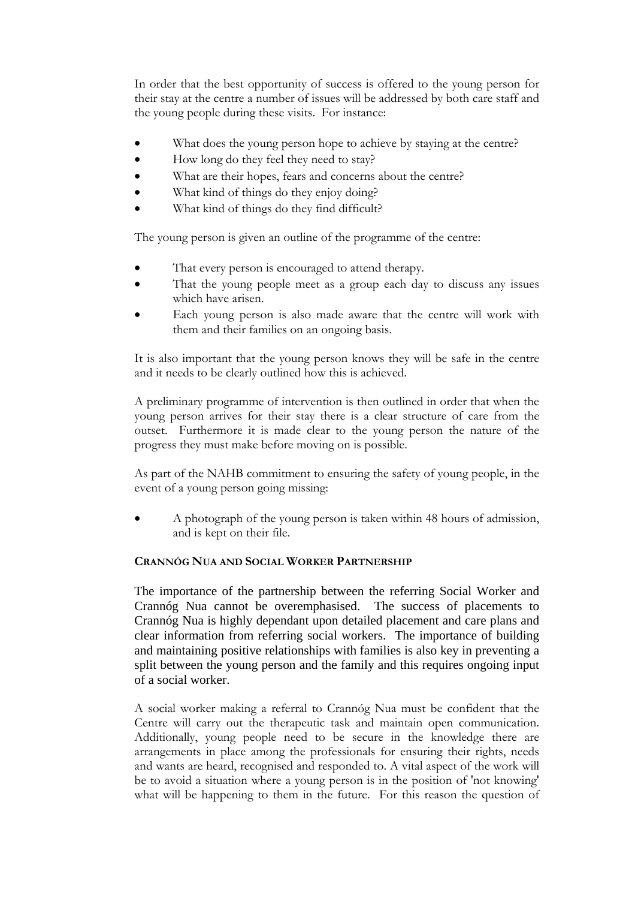In order that the best opportunity of success is offered to the young person for their stay at the centre a number of issues will be addressed by both care staff and the young people during these visits. For instance:

- What does the young person hope to achieve by staying at the centre?
- How long do they feel they need to stay?
- What are their hopes, fears and concerns about the centre?
- What kind of things do they enjoy doing?
- What kind of things do they find difficult?

The young person is given an outline of the programme of the centre:

- That every person is encouraged to attend therapy.
- That the young people meet as a group each day to discuss any issues which have arisen.
- Each young person is also made aware that the centre will work with them and their families on an ongoing basis.

It is also important that the young person knows they will be safe in the centre and it needs to be clearly outlined how this is achieved.

A preliminary programme of intervention is then outlined in order that when the young person arrives for their stay there is a clear structure of care from the outset. Furthermore it is made clear to the young person the nature of the progress they must make before moving on is possible.

As part of the NAHB commitment to ensuring the safety of young people, in the event of a young person going missing:

• A photograph of the young person is taken within 48 hours of admission, and is kept on their file.

### **CRANNÓG NUA AND SOCIAL WORKER PARTNERSHIP**

The importance of the partnership between the referring Social Worker and Crannóg Nua cannot be overemphasised. The success of placements to Crannóg Nua is highly dependant upon detailed placement and care plans and clear information from referring social workers. The importance of building and maintaining positive relationships with families is also key in preventing a split between the young person and the family and this requires ongoing input of a social worker.

A social worker making a referral to Crannóg Nua must be confident that the Centre will carry out the therapeutic task and maintain open communication. Additionally, young people need to be secure in the knowledge there are arrangements in place among the professionals for ensuring their rights, needs and wants are heard, recognised and responded to. A vital aspect of the work will be to avoid a situation where a young person is in the position of 'not knowing' what will be happening to them in the future. For this reason the question of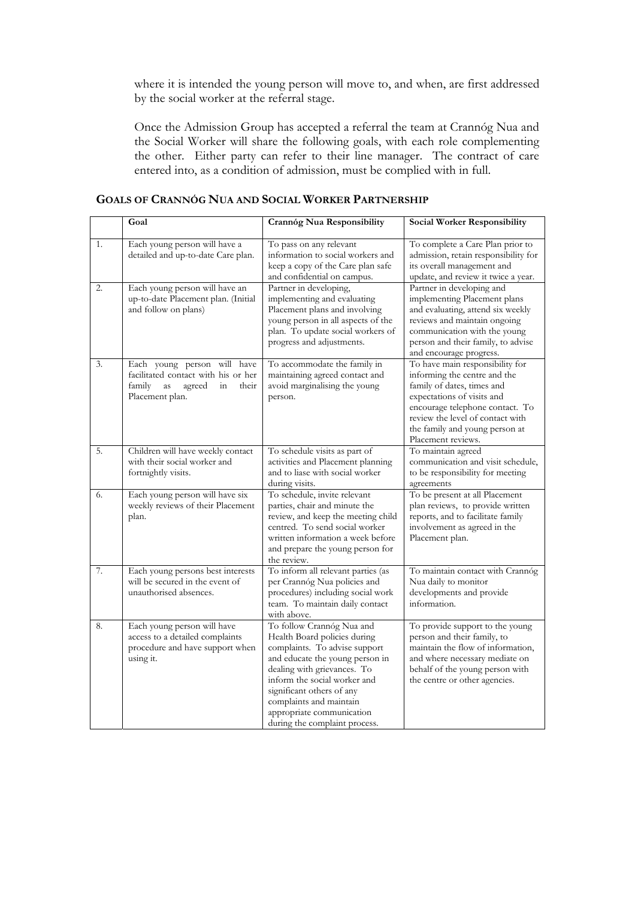where it is intended the young person will move to, and when, are first addressed by the social worker at the referral stage.

Once the Admission Group has accepted a referral the team at Crannóg Nua and the Social Worker will share the following goals, with each role complementing the other. Either party can refer to their line manager. The contract of care entered into, as a condition of admission, must be complied with in full.

| <b>GOALS OF CRANNOG NUA AND SOCIAL WORKER PARTNERSHIP</b> |  |
|-----------------------------------------------------------|--|
|                                                           |  |

|    | Goal                                                                                                                           | Crannóg Nua Responsibility                                                                                                                                                                                                                                                                                         | <b>Social Worker Responsibility</b>                                                                                                                                                                                                                        |
|----|--------------------------------------------------------------------------------------------------------------------------------|--------------------------------------------------------------------------------------------------------------------------------------------------------------------------------------------------------------------------------------------------------------------------------------------------------------------|------------------------------------------------------------------------------------------------------------------------------------------------------------------------------------------------------------------------------------------------------------|
| 1. | Each young person will have a<br>detailed and up-to-date Care plan.                                                            | To pass on any relevant<br>information to social workers and<br>keep a copy of the Care plan safe<br>and confidential on campus.                                                                                                                                                                                   | To complete a Care Plan prior to<br>admission, retain responsibility for<br>its overall management and<br>update, and review it twice a year.                                                                                                              |
| 2. | Each young person will have an<br>up-to-date Placement plan. (Initial<br>and follow on plans)                                  | Partner in developing,<br>implementing and evaluating<br>Placement plans and involving<br>young person in all aspects of the<br>plan. To update social workers of<br>progress and adjustments.                                                                                                                     | Partner in developing and<br>implementing Placement plans<br>and evaluating, attend six weekly<br>reviews and maintain ongoing<br>communication with the young<br>person and their family, to advise<br>and encourage progress.                            |
| 3. | Each young person will have<br>facilitated contact with his or her<br>family<br>agreed<br>in<br>their<br>as<br>Placement plan. | To accommodate the family in<br>maintaining agreed contact and<br>avoid marginalising the young<br>person.                                                                                                                                                                                                         | To have main responsibility for<br>informing the centre and the<br>family of dates, times and<br>expectations of visits and<br>encourage telephone contact. To<br>review the level of contact with<br>the family and young person at<br>Placement reviews. |
| 5. | Children will have weekly contact<br>with their social worker and<br>fortnightly visits.                                       | To schedule visits as part of<br>activities and Placement planning<br>and to liase with social worker<br>during visits.                                                                                                                                                                                            | To maintain agreed<br>communication and visit schedule,<br>to be responsibility for meeting<br>agreements                                                                                                                                                  |
| 6. | Each young person will have six<br>weekly reviews of their Placement<br>plan.                                                  | To schedule, invite relevant<br>parties, chair and minute the<br>review, and keep the meeting child<br>centred. To send social worker<br>written information a week before<br>and prepare the young person for<br>the review.                                                                                      | To be present at all Placement<br>plan reviews, to provide written<br>reports, and to facilitate family<br>involvement as agreed in the<br>Placement plan.                                                                                                 |
| 7. | Each young persons best interests<br>will be secured in the event of<br>unauthorised absences.                                 | To inform all relevant parties (as<br>per Crannóg Nua policies and<br>procedures) including social work<br>team. To maintain daily contact<br>with above.                                                                                                                                                          | To maintain contact with Crannóg<br>Nua daily to monitor<br>developments and provide<br>information.                                                                                                                                                       |
| 8. | Each young person will have<br>access to a detailed complaints<br>procedure and have support when<br>using it.                 | To follow Crannóg Nua and<br>Health Board policies during<br>complaints. To advise support<br>and educate the young person in<br>dealing with grievances. To<br>inform the social worker and<br>significant others of any<br>complaints and maintain<br>appropriate communication<br>during the complaint process. | To provide support to the young<br>person and their family, to<br>maintain the flow of information,<br>and where necessary mediate on<br>behalf of the young person with<br>the centre or other agencies.                                                  |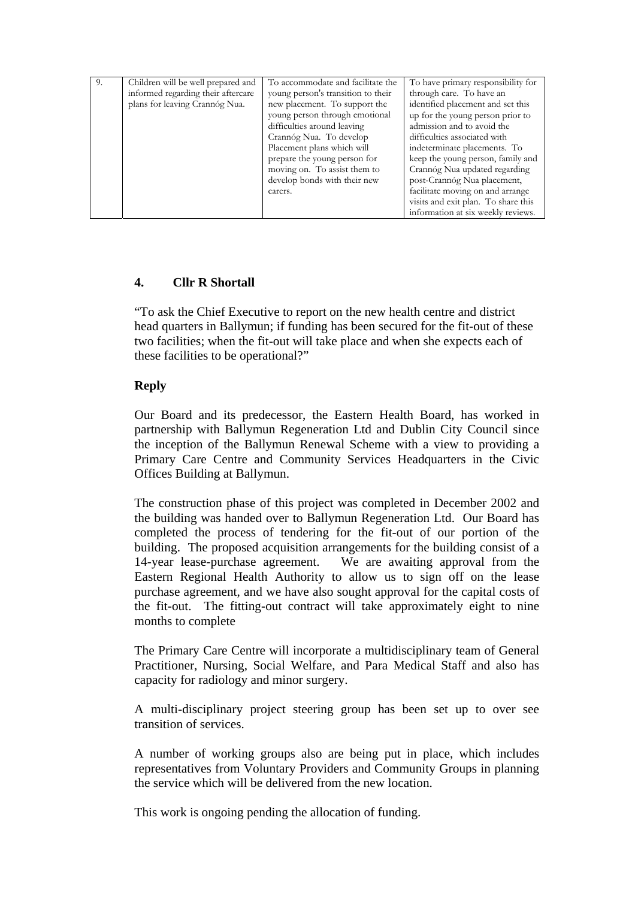| 9. | Children will be well prepared and | To accommodate and facilitate the  | To have primary responsibility for  |
|----|------------------------------------|------------------------------------|-------------------------------------|
|    | informed regarding their aftercare | young person's transition to their | through care. To have an            |
|    | plans for leaving Crannóg Nua.     | new placement. To support the      | identified placement and set this   |
|    |                                    | young person through emotional     | up for the young person prior to    |
|    |                                    | difficulties around leaving        | admission and to avoid the          |
|    |                                    | Crannóg Nua. To develop            | difficulties associated with        |
|    |                                    | Placement plans which will         | indeterminate placements. To        |
|    |                                    | prepare the young person for       | keep the young person, family and   |
|    |                                    | moving on. To assist them to       | Crannóg Nua updated regarding       |
|    |                                    | develop bonds with their new       | post-Crannóg Nua placement,         |
|    |                                    | carers.                            | facilitate moving on and arrange    |
|    |                                    |                                    | visits and exit plan. To share this |
|    |                                    |                                    | information at six weekly reviews.  |

# **4. Cllr R Shortall**

"To ask the Chief Executive to report on the new health centre and district head quarters in Ballymun; if funding has been secured for the fit-out of these two facilities; when the fit-out will take place and when she expects each of these facilities to be operational?"

# **Reply**

Our Board and its predecessor, the Eastern Health Board, has worked in partnership with Ballymun Regeneration Ltd and Dublin City Council since the inception of the Ballymun Renewal Scheme with a view to providing a Primary Care Centre and Community Services Headquarters in the Civic Offices Building at Ballymun.

The construction phase of this project was completed in December 2002 and the building was handed over to Ballymun Regeneration Ltd. Our Board has completed the process of tendering for the fit-out of our portion of the building. The proposed acquisition arrangements for the building consist of a 14-year lease-purchase agreement. We are awaiting approval from the Eastern Regional Health Authority to allow us to sign off on the lease purchase agreement, and we have also sought approval for the capital costs of the fit-out. The fitting-out contract will take approximately eight to nine months to complete

The Primary Care Centre will incorporate a multidisciplinary team of General Practitioner, Nursing, Social Welfare, and Para Medical Staff and also has capacity for radiology and minor surgery.

A multi-disciplinary project steering group has been set up to over see transition of services.

A number of working groups also are being put in place, which includes representatives from Voluntary Providers and Community Groups in planning the service which will be delivered from the new location.

This work is ongoing pending the allocation of funding.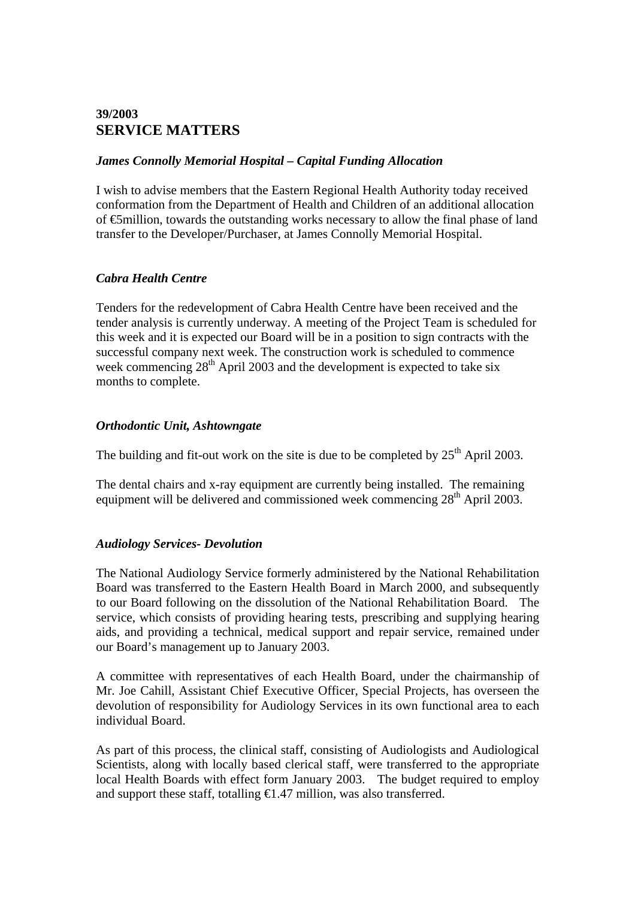# **39/2003 SERVICE MATTERS**

### *James Connolly Memorial Hospital – Capital Funding Allocation*

I wish to advise members that the Eastern Regional Health Authority today received conformation from the Department of Health and Children of an additional allocation of €5million, towards the outstanding works necessary to allow the final phase of land transfer to the Developer/Purchaser, at James Connolly Memorial Hospital.

### *Cabra Health Centre*

Tenders for the redevelopment of Cabra Health Centre have been received and the tender analysis is currently underway. A meeting of the Project Team is scheduled for this week and it is expected our Board will be in a position to sign contracts with the successful company next week. The construction work is scheduled to commence week commencing  $28<sup>th</sup>$  April 2003 and the development is expected to take six months to complete.

### *Orthodontic Unit, Ashtowngate*

The building and fit-out work on the site is due to be completed by  $25<sup>th</sup>$  April 2003.

The dental chairs and x-ray equipment are currently being installed. The remaining equipment will be delivered and commissioned week commencing  $28<sup>th</sup>$  April 2003.

# *Audiology Services- Devolution*

The National Audiology Service formerly administered by the National Rehabilitation Board was transferred to the Eastern Health Board in March 2000, and subsequently to our Board following on the dissolution of the National Rehabilitation Board. The service, which consists of providing hearing tests, prescribing and supplying hearing aids, and providing a technical, medical support and repair service, remained under our Board's management up to January 2003.

A committee with representatives of each Health Board, under the chairmanship of Mr. Joe Cahill, Assistant Chief Executive Officer, Special Projects, has overseen the devolution of responsibility for Audiology Services in its own functional area to each individual Board.

As part of this process, the clinical staff, consisting of Audiologists and Audiological Scientists, along with locally based clerical staff, were transferred to the appropriate local Health Boards with effect form January 2003. The budget required to employ and support these staff, totalling  $\bigoplus$ . 47 million, was also transferred.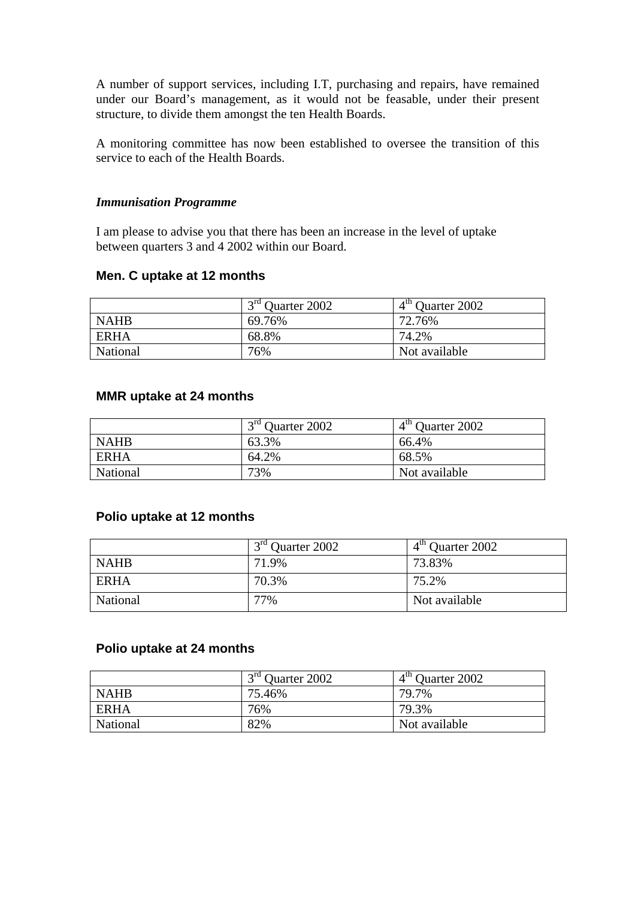A number of support services, including I.T, purchasing and repairs, have remained under our Board's management, as it would not be feasable, under their present structure, to divide them amongst the ten Health Boards.

A monitoring committee has now been established to oversee the transition of this service to each of the Health Boards.

#### *Immunisation Programme*

I am please to advise you that there has been an increase in the level of uptake between quarters 3 and 4 2002 within our Board.

#### **Men. C uptake at 12 months**

|             | $3rd$ Ouarter 2002 | $4th$ Quarter 2002 |
|-------------|--------------------|--------------------|
| <b>NAHB</b> | 69.76%             | 72.76%             |
| <b>ERHA</b> | 68.8%              | 74.2%              |
| National    | 76%                | Not available      |

### **MMR uptake at 24 months**

|             | 3 <sup>rd</sup> Quarter 2002 | $4th$ Quarter 2002 |
|-------------|------------------------------|--------------------|
| <b>NAHB</b> | 63.3%                        | 66.4%              |
| <b>ERHA</b> | 64.2%                        | 68.5%              |
| National    | 73%                          | Not available      |

### **Polio uptake at 12 months**

|             | $13rd$ Ouarter 2002 | 4 <sup>th</sup> Quarter 2002 |
|-------------|---------------------|------------------------------|
| <b>NAHB</b> | 71.9%               | 73.83%                       |
| ERHA        | 70.3%               | 75.2%                        |
| National    | 77%                 | Not available                |

#### **Polio uptake at 24 months**

|             | 3 <sup>rd</sup> Quarter 2002 | $4th$ Quarter 2002 |
|-------------|------------------------------|--------------------|
| <b>NAHB</b> | 75.46%                       | 79.7%              |
| ERHA        | 76%                          | 79.3%              |
| National    | 82%                          | Not available      |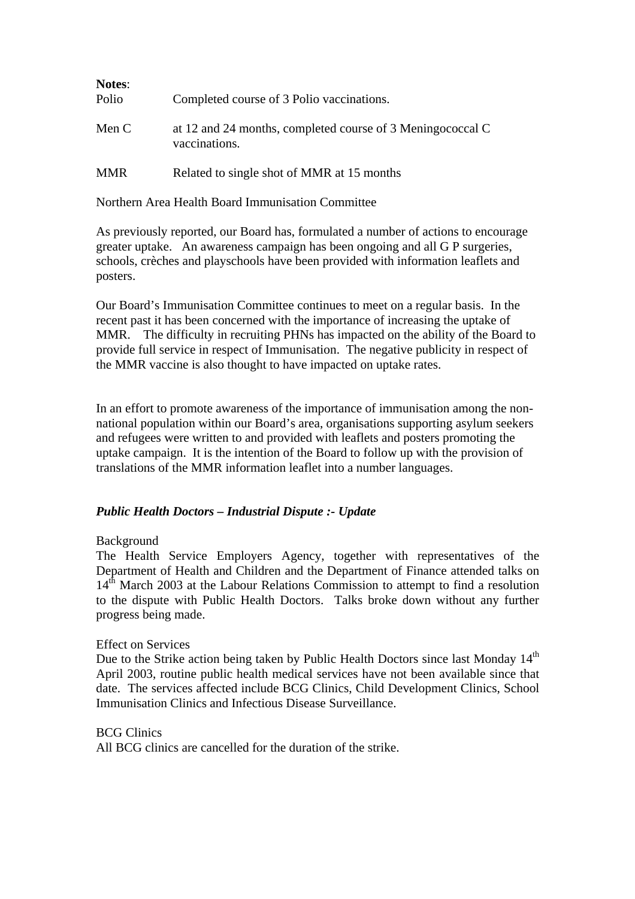| <b>Notes:</b><br>Polio | Completed course of 3 Polio vaccinations.                                   |
|------------------------|-----------------------------------------------------------------------------|
| Men C                  | at 12 and 24 months, completed course of 3 Meningococcal C<br>vaccinations. |
| <b>MMR</b>             | Related to single shot of MMR at 15 months                                  |

Northern Area Health Board Immunisation Committee

As previously reported, our Board has, formulated a number of actions to encourage greater uptake. An awareness campaign has been ongoing and all G P surgeries, schools, crèches and playschools have been provided with information leaflets and posters.

Our Board's Immunisation Committee continues to meet on a regular basis. In the recent past it has been concerned with the importance of increasing the uptake of MMR. The difficulty in recruiting PHNs has impacted on the ability of the Board to provide full service in respect of Immunisation. The negative publicity in respect of the MMR vaccine is also thought to have impacted on uptake rates.

In an effort to promote awareness of the importance of immunisation among the nonnational population within our Board's area, organisations supporting asylum seekers and refugees were written to and provided with leaflets and posters promoting the uptake campaign. It is the intention of the Board to follow up with the provision of translations of the MMR information leaflet into a number languages.

# *Public Health Doctors – Industrial Dispute :- Update*

### Background

The Health Service Employers Agency, together with representatives of the Department of Health and Children and the Department of Finance attended talks on  $14<sup>th</sup>$  March 2003 at the Labour Relations Commission to attempt to find a resolution to the dispute with Public Health Doctors. Talks broke down without any further progress being made.

### Effect on Services

Due to the Strike action being taken by Public Health Doctors since last Monday 14<sup>th</sup> April 2003, routine public health medical services have not been available since that date. The services affected include BCG Clinics, Child Development Clinics, School Immunisation Clinics and Infectious Disease Surveillance.

# BCG Clinics

All BCG clinics are cancelled for the duration of the strike.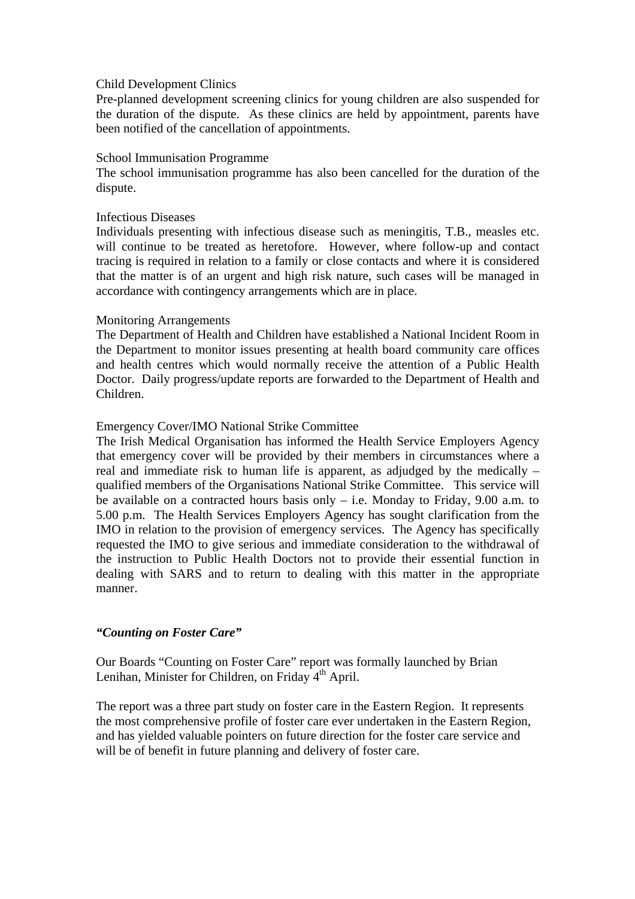#### Child Development Clinics

Pre-planned development screening clinics for young children are also suspended for the duration of the dispute. As these clinics are held by appointment, parents have been notified of the cancellation of appointments.

#### School Immunisation Programme

The school immunisation programme has also been cancelled for the duration of the dispute.

#### Infectious Diseases

Individuals presenting with infectious disease such as meningitis, T.B., measles etc. will continue to be treated as heretofore. However, where follow-up and contact tracing is required in relation to a family or close contacts and where it is considered that the matter is of an urgent and high risk nature, such cases will be managed in accordance with contingency arrangements which are in place.

#### Monitoring Arrangements

The Department of Health and Children have established a National Incident Room in the Department to monitor issues presenting at health board community care offices and health centres which would normally receive the attention of a Public Health Doctor. Daily progress/update reports are forwarded to the Department of Health and Children.

### Emergency Cover/IMO National Strike Committee

The Irish Medical Organisation has informed the Health Service Employers Agency that emergency cover will be provided by their members in circumstances where a real and immediate risk to human life is apparent, as adjudged by the medically – qualified members of the Organisations National Strike Committee. This service will be available on a contracted hours basis only – i.e. Monday to Friday, 9.00 a.m. to 5.00 p.m. The Health Services Employers Agency has sought clarification from the IMO in relation to the provision of emergency services. The Agency has specifically requested the IMO to give serious and immediate consideration to the withdrawal of the instruction to Public Health Doctors not to provide their essential function in dealing with SARS and to return to dealing with this matter in the appropriate manner.

### *"Counting on Foster Care"*

Our Boards "Counting on Foster Care" report was formally launched by Brian Lenihan, Minister for Children, on Friday  $4<sup>th</sup>$  April.

The report was a three part study on foster care in the Eastern Region. It represents the most comprehensive profile of foster care ever undertaken in the Eastern Region, and has yielded valuable pointers on future direction for the foster care service and will be of benefit in future planning and delivery of foster care.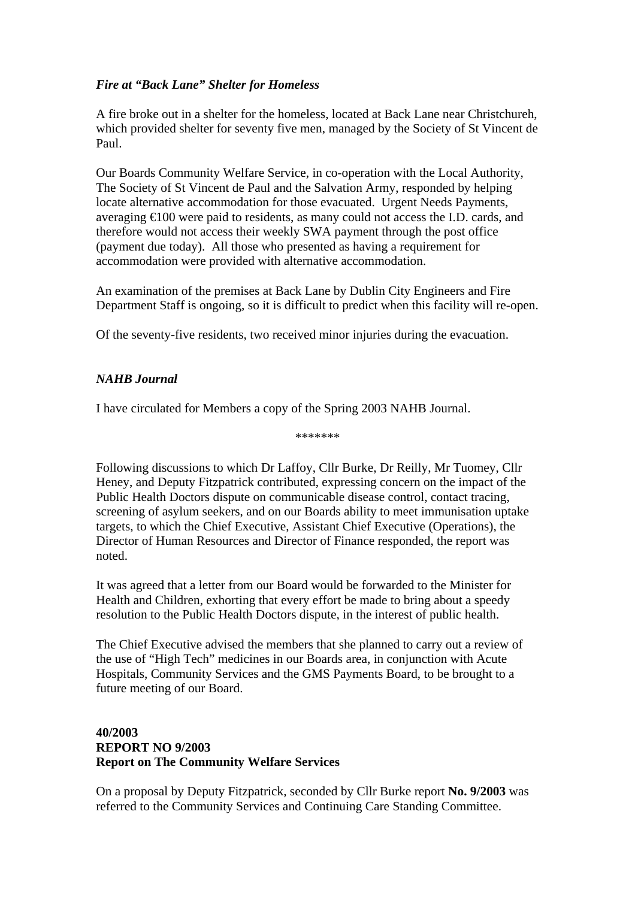# *Fire at "Back Lane" Shelter for Homeless*

A fire broke out in a shelter for the homeless, located at Back Lane near Christchureh, which provided shelter for seventy five men, managed by the Society of St Vincent de Paul.

Our Boards Community Welfare Service, in co-operation with the Local Authority, The Society of St Vincent de Paul and the Salvation Army, responded by helping locate alternative accommodation for those evacuated. Urgent Needs Payments, averaging €100 were paid to residents, as many could not access the I.D. cards, and therefore would not access their weekly SWA payment through the post office (payment due today). All those who presented as having a requirement for accommodation were provided with alternative accommodation.

An examination of the premises at Back Lane by Dublin City Engineers and Fire Department Staff is ongoing, so it is difficult to predict when this facility will re-open.

Of the seventy-five residents, two received minor injuries during the evacuation.

# *NAHB Journal*

I have circulated for Members a copy of the Spring 2003 NAHB Journal.

\*\*\*\*\*\*\*

Following discussions to which Dr Laffoy, Cllr Burke, Dr Reilly, Mr Tuomey, Cllr Heney, and Deputy Fitzpatrick contributed, expressing concern on the impact of the Public Health Doctors dispute on communicable disease control, contact tracing, screening of asylum seekers, and on our Boards ability to meet immunisation uptake targets, to which the Chief Executive, Assistant Chief Executive (Operations), the Director of Human Resources and Director of Finance responded, the report was noted.

It was agreed that a letter from our Board would be forwarded to the Minister for Health and Children, exhorting that every effort be made to bring about a speedy resolution to the Public Health Doctors dispute, in the interest of public health.

The Chief Executive advised the members that she planned to carry out a review of the use of "High Tech" medicines in our Boards area, in conjunction with Acute Hospitals, Community Services and the GMS Payments Board, to be brought to a future meeting of our Board.

### **40/2003 REPORT NO 9/2003 Report on The Community Welfare Services**

On a proposal by Deputy Fitzpatrick, seconded by Cllr Burke report **No. 9/2003** was referred to the Community Services and Continuing Care Standing Committee.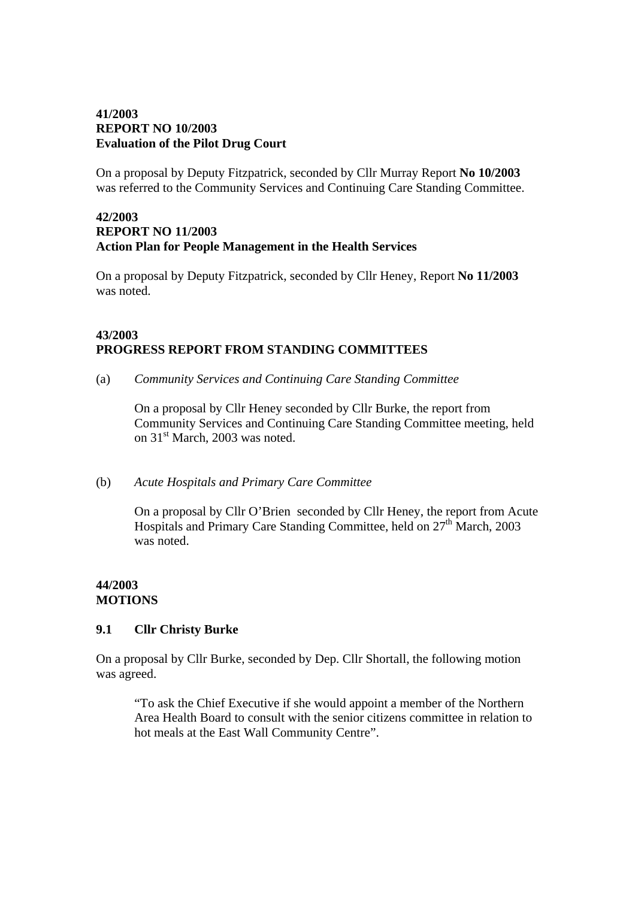## **41/2003 REPORT NO 10/2003 Evaluation of the Pilot Drug Court**

On a proposal by Deputy Fitzpatrick, seconded by Cllr Murray Report **No 10/2003**  was referred to the Community Services and Continuing Care Standing Committee.

### **42/2003 REPORT NO 11/2003 Action Plan for People Management in the Health Services**

On a proposal by Deputy Fitzpatrick, seconded by Cllr Heney, Report **No 11/2003**  was noted.

### **43/2003 PROGRESS REPORT FROM STANDING COMMITTEES**

(a) *Community Services and Continuing Care Standing Committee* 

On a proposal by Cllr Heney seconded by Cllr Burke, the report from Community Services and Continuing Care Standing Committee meeting, held on 31<sup>st</sup> March, 2003 was noted.

# (b) *Acute Hospitals and Primary Care Committee*

On a proposal by Cllr O'Brien seconded by Cllr Heney, the report from Acute Hospitals and Primary Care Standing Committee, held on 27<sup>th</sup> March, 2003 was noted.

# **44/2003 MOTIONS**

# **9.1 Cllr Christy Burke**

On a proposal by Cllr Burke, seconded by Dep. Cllr Shortall, the following motion was agreed.

"To ask the Chief Executive if she would appoint a member of the Northern Area Health Board to consult with the senior citizens committee in relation to hot meals at the East Wall Community Centre".